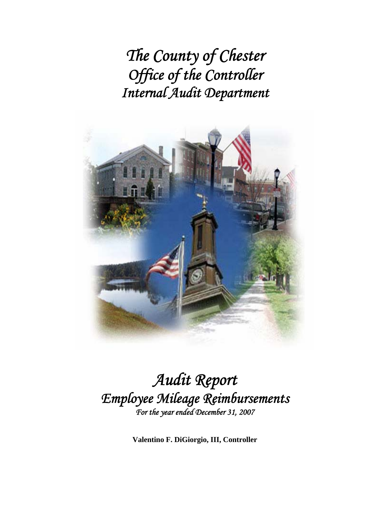*The County of Chester Office of the Controller Internal Audit Department* 



## *Audit Report Employee Mileage Reimbursements For the year ended December 31, 2007*

**Valentino F. DiGiorgio, III, Controller**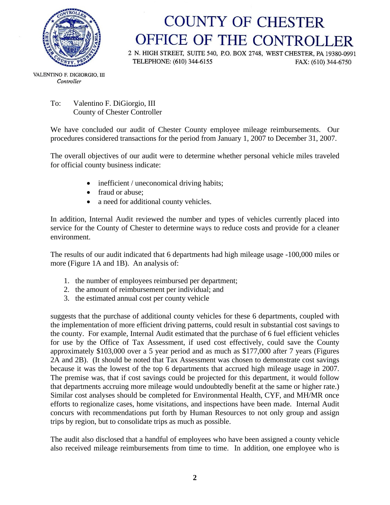

# **COUNTY OF CHESTER** OFFICE OF THE CONTROLLER

2 N. HIGH STREET, SUITE 540, P.O. BOX 2748, WEST CHESTER, PA 19380-0991 TELEPHONE: (610) 344-6155 FAX: (610) 344-6750

VALENTINO F. DIGIORGIO, III Controller

#### To: Valentino F. DiGiorgio, III County of Chester Controller

We have concluded our audit of Chester County employee mileage reimbursements. Our procedures considered transactions for the period from January 1, 2007 to December 31, 2007.

The overall objectives of our audit were to determine whether personal vehicle miles traveled for official county business indicate:

- inefficient / uneconomical driving habits;
- fraud or abuse:
- a need for additional county vehicles.

In addition, Internal Audit reviewed the number and types of vehicles currently placed into service for the County of Chester to determine ways to reduce costs and provide for a cleaner environment.

The results of our audit indicated that 6 departments had high mileage usage -100,000 miles or more (Figure 1A and 1B). An analysis of:

- 1. the number of employees reimbursed per department;
- 2. the amount of reimbursement per individual; and
- 3. the estimated annual cost per county vehicle

suggests that the purchase of additional county vehicles for these 6 departments, coupled with the implementation of more efficient driving patterns, could result in substantial cost savings to the county. For example, Internal Audit estimated that the purchase of 6 fuel efficient vehicles for use by the Office of Tax Assessment, if used cost effectively, could save the County approximately \$103,000 over a 5 year period and as much as \$177,000 after 7 years (Figures 2A and 2B). (It should be noted that Tax Assessment was chosen to demonstrate cost savings because it was the lowest of the top 6 departments that accrued high mileage usage in 2007. The premise was, that if cost savings could be projected for this department, it would follow that departments accruing more mileage would undoubtedly benefit at the same or higher rate.) Similar cost analyses should be completed for Environmental Health, CYF, and MH/MR once efforts to regionalize cases, home visitations, and inspections have been made. Internal Audit concurs with recommendations put forth by Human Resources to not only group and assign trips by region, but to consolidate trips as much as possible.

The audit also disclosed that a handful of employees who have been assigned a county vehicle also received mileage reimbursements from time to time. In addition, one employee who is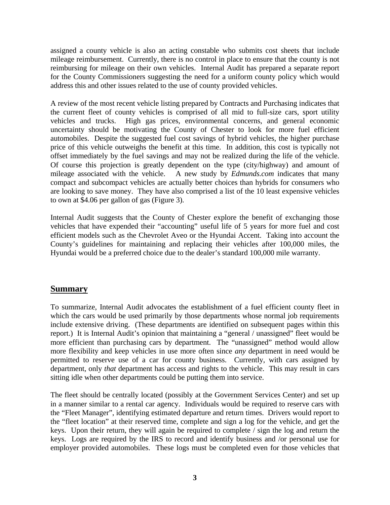assigned a county vehicle is also an acting constable who submits cost sheets that include mileage reimbursement. Currently, there is no control in place to ensure that the county is not reimbursing for mileage on their own vehicles. Internal Audit has prepared a separate report for the County Commissioners suggesting the need for a uniform county policy which would address this and other issues related to the use of county provided vehicles.

A review of the most recent vehicle listing prepared by Contracts and Purchasing indicates that the current fleet of county vehicles is comprised of all mid to full-size cars, sport utility vehicles and trucks. High gas prices, environmental concerns, and general economic uncertainty should be motivating the County of Chester to look for more fuel efficient automobiles. Despite the suggested fuel cost savings of hybrid vehicles, the higher purchase price of this vehicle outweighs the benefit at this time. In addition, this cost is typically not offset immediately by the fuel savings and may not be realized during the life of the vehicle. Of course this projection is greatly dependent on the type (city/highway) and amount of mileage associated with the vehicle. A new study by *Edmunds.com* indicates that many compact and subcompact vehicles are actually better choices than hybrids for consumers who are looking to save money. They have also comprised a list of the 10 least expensive vehicles to own at \$4.06 per gallon of gas (Figure 3).

Internal Audit suggests that the County of Chester explore the benefit of exchanging those vehicles that have expended their "accounting" useful life of 5 years for more fuel and cost efficient models such as the Chevrolet Aveo or the Hyundai Accent. Taking into account the County's guidelines for maintaining and replacing their vehicles after 100,000 miles, the Hyundai would be a preferred choice due to the dealer's standard 100,000 mile warranty.

### **Summary**

To summarize, Internal Audit advocates the establishment of a fuel efficient county fleet in which the cars would be used primarily by those departments whose normal job requirements include extensive driving. (These departments are identified on subsequent pages within this report.) It is Internal Audit's opinion that maintaining a "general / unassigned" fleet would be more efficient than purchasing cars by department. The "unassigned" method would allow more flexibility and keep vehicles in use more often since *any* department in need would be permitted to reserve use of a car for county business. Currently, with cars assigned by department, only *that* department has access and rights to the vehicle. This may result in cars sitting idle when other departments could be putting them into service.

The fleet should be centrally located (possibly at the Government Services Center) and set up in a manner similar to a rental car agency. Individuals would be required to reserve cars with the "Fleet Manager", identifying estimated departure and return times. Drivers would report to the "fleet location" at their reserved time, complete and sign a log for the vehicle, and get the keys. Upon their return, they will again be required to complete / sign the log and return the keys. Logs are required by the IRS to record and identify business and /or personal use for employer provided automobiles. These logs must be completed even for those vehicles that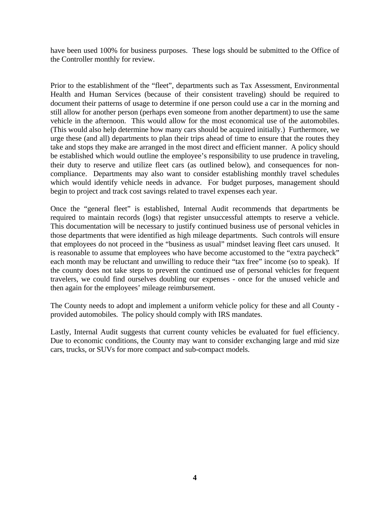have been used 100% for business purposes. These logs should be submitted to the Office of the Controller monthly for review.

Prior to the establishment of the "fleet", departments such as Tax Assessment, Environmental Health and Human Services (because of their consistent traveling) should be required to document their patterns of usage to determine if one person could use a car in the morning and still allow for another person (perhaps even someone from another department) to use the same vehicle in the afternoon. This would allow for the most economical use of the automobiles. (This would also help determine how many cars should be acquired initially.) Furthermore, we urge these (and all) departments to plan their trips ahead of time to ensure that the routes they take and stops they make are arranged in the most direct and efficient manner. A policy should be established which would outline the employee's responsibility to use prudence in traveling, their duty to reserve and utilize fleet cars (as outlined below), and consequences for noncompliance. Departments may also want to consider establishing monthly travel schedules which would identify vehicle needs in advance. For budget purposes, management should begin to project and track cost savings related to travel expenses each year.

Once the "general fleet" is established, Internal Audit recommends that departments be required to maintain records (logs) that register unsuccessful attempts to reserve a vehicle. This documentation will be necessary to justify continued business use of personal vehicles in those departments that were identified as high mileage departments. Such controls will ensure that employees do not proceed in the "business as usual" mindset leaving fleet cars unused. It is reasonable to assume that employees who have become accustomed to the "extra paycheck" each month may be reluctant and unwilling to reduce their "tax free" income (so to speak). If the county does not take steps to prevent the continued use of personal vehicles for frequent travelers, we could find ourselves doubling our expenses - once for the unused vehicle and then again for the employees' mileage reimbursement.

The County needs to adopt and implement a uniform vehicle policy for these and all County provided automobiles. The policy should comply with IRS mandates.

Lastly, Internal Audit suggests that current county vehicles be evaluated for fuel efficiency. Due to economic conditions, the County may want to consider exchanging large and mid size cars, trucks, or SUVs for more compact and sub-compact models.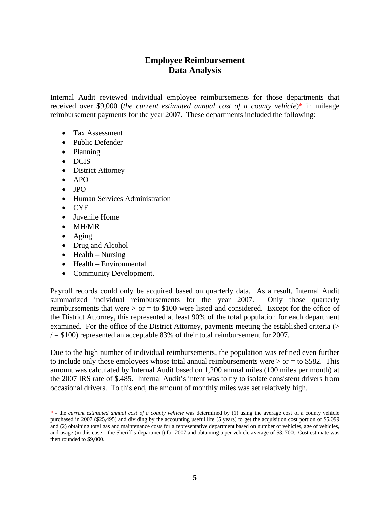## **Employee Reimbursement Data Analysis**

Internal Audit reviewed individual employee reimbursements for those departments that received over \$9,000 *(the current estimated annual cost of a county vehicle*)\* in mileage reimbursement payments for the year 2007. These departments included the following:

- Tax Assessment
- Public Defender
- Planning
- DCIS
- District Attorney
- APO
- JPO
- Human Services Administration
- CYF
- Juvenile Home
- MH/MR
- Aging
- Drug and Alcohol
- $\bullet$  Health Nursing
- Health Environmental
- Community Development.

Payroll records could only be acquired based on quarterly data. As a result, Internal Audit summarized individual reimbursements for the year 2007. Only those quarterly reimbursements that were  $>$  or  $=$  to \$100 were listed and considered. Except for the office of the District Attorney, this represented at least 90% of the total population for each department examined. For the office of the District Attorney, payments meeting the established criteria (>  $/ = $100$ ) represented an acceptable 83% of their total reimbursement for 2007.

Due to the high number of individual reimbursements, the population was refined even further to include only those employees whose total annual reimbursements were  $>$  or  $=$  to \$582. This amount was calculated by Internal Audit based on 1,200 annual miles (100 miles per month) at the 2007 IRS rate of \$.485. Internal Audit's intent was to try to isolate consistent drivers from occasional drivers. To this end, the amount of monthly miles was set relatively high.

<sup>\* -</sup> the *current estimated annual cost of a county vehicle* was determined by (1) using the average cost of a county vehicle purchased in 2007 (\$25,495) and dividing by the accounting useful life (5 years) to get the acquisition cost portion of \$5,099 and (2) obtaining total gas and maintenance costs for a representative department based on number of vehicles, age of vehicles, and usage (in this case – the Sheriff's department) for 2007 and obtaining a per vehicle average of \$3, 700. Cost estimate was then rounded to \$9,000.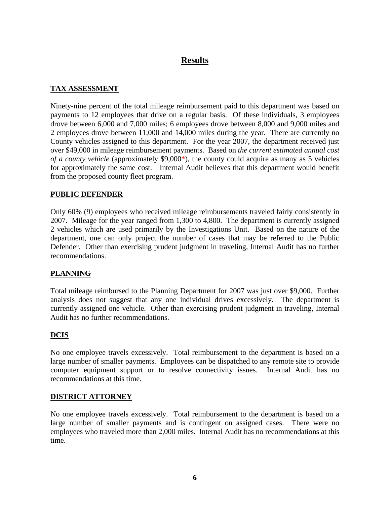## **Results**

#### **TAX ASSESSMENT**

Ninety-nine percent of the total mileage reimbursement paid to this department was based on payments to 12 employees that drive on a regular basis. Of these individuals, 3 employees drove between 6,000 and 7,000 miles; 6 employees drove between 8,000 and 9,000 miles and 2 employees drove between 11,000 and 14,000 miles during the year. There are currently no County vehicles assigned to this department. For the year 2007, the department received just over \$49,000 in mileage reimbursement payments. Based on *the current estimated annual cost of a county vehicle* (approximately \$9,000\*), the county could acquire as many as 5 vehicles for approximately the same cost. Internal Audit believes that this department would benefit from the proposed county fleet program.

#### **PUBLIC DEFENDER**

Only 60% (9) employees who received mileage reimbursements traveled fairly consistently in 2007. Mileage for the year ranged from 1,300 to 4,800. The department is currently assigned 2 vehicles which are used primarily by the Investigations Unit. Based on the nature of the department, one can only project the number of cases that may be referred to the Public Defender. Other than exercising prudent judgment in traveling, Internal Audit has no further recommendations.

#### **PLANNING**

Total mileage reimbursed to the Planning Department for 2007 was just over \$9,000. Further analysis does not suggest that any one individual drives excessively. The department is currently assigned one vehicle. Other than exercising prudent judgment in traveling, Internal Audit has no further recommendations.

#### **DCIS**

No one employee travels excessively. Total reimbursement to the department is based on a large number of smaller payments. Employees can be dispatched to any remote site to provide computer equipment support or to resolve connectivity issues. Internal Audit has no recommendations at this time.

#### **DISTRICT ATTORNEY**

No one employee travels excessively. Total reimbursement to the department is based on a large number of smaller payments and is contingent on assigned cases. There were no employees who traveled more than 2,000 miles. Internal Audit has no recommendations at this time.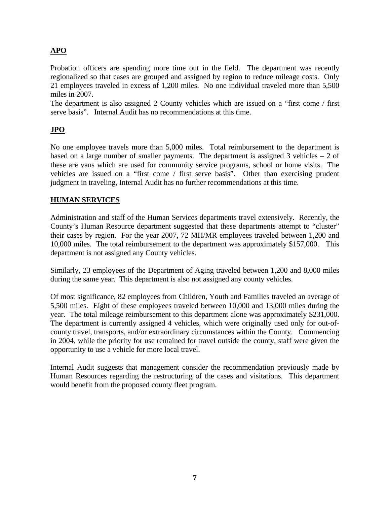## **APO**

Probation officers are spending more time out in the field. The department was recently regionalized so that cases are grouped and assigned by region to reduce mileage costs. Only 21 employees traveled in excess of 1,200 miles. No one individual traveled more than 5,500 miles in 2007.

The department is also assigned 2 County vehicles which are issued on a "first come / first serve basis". Internal Audit has no recommendations at this time.

### **JPO**

No one employee travels more than 5,000 miles. Total reimbursement to the department is based on a large number of smaller payments. The department is assigned 3 vehicles  $-2$  of these are vans which are used for community service programs, school or home visits. The vehicles are issued on a "first come / first serve basis". Other than exercising prudent judgment in traveling, Internal Audit has no further recommendations at this time.

#### **HUMAN SERVICES**

Administration and staff of the Human Services departments travel extensively. Recently, the County's Human Resource department suggested that these departments attempt to "cluster" their cases by region. For the year 2007, 72 MH/MR employees traveled between 1,200 and 10,000 miles. The total reimbursement to the department was approximately \$157,000. This department is not assigned any County vehicles.

Similarly, 23 employees of the Department of Aging traveled between 1,200 and 8,000 miles during the same year. This department is also not assigned any county vehicles.

Of most significance, 82 employees from Children, Youth and Families traveled an average of 5,500 miles. Eight of these employees traveled between 10,000 and 13,000 miles during the year. The total mileage reimbursement to this department alone was approximately \$231,000. The department is currently assigned 4 vehicles, which were originally used only for out-ofcounty travel, transports, and/or extraordinary circumstances within the County. Commencing in 2004, while the priority for use remained for travel outside the county, staff were given the opportunity to use a vehicle for more local travel.

Internal Audit suggests that management consider the recommendation previously made by Human Resources regarding the restructuring of the cases and visitations. This department would benefit from the proposed county fleet program.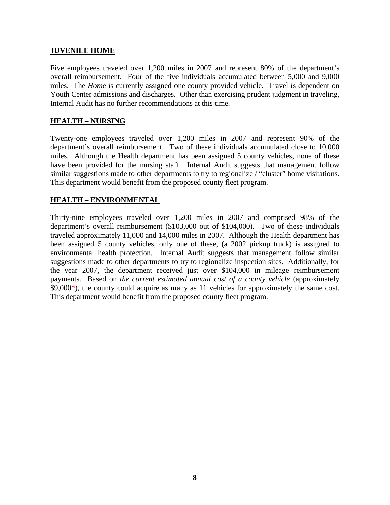#### **JUVENILE HOME**

Five employees traveled over 1,200 miles in 2007 and represent 80% of the department's overall reimbursement. Four of the five individuals accumulated between 5,000 and 9,000 miles. The *Home* is currently assigned one county provided vehicle. Travel is dependent on Youth Center admissions and discharges. Other than exercising prudent judgment in traveling, Internal Audit has no further recommendations at this time.

#### **HEALTH – NURSING**

Twenty-one employees traveled over 1,200 miles in 2007 and represent 90% of the department's overall reimbursement. Two of these individuals accumulated close to 10,000 miles. Although the Health department has been assigned 5 county vehicles, none of these have been provided for the nursing staff. Internal Audit suggests that management follow similar suggestions made to other departments to try to regionalize / "cluster" home visitations. This department would benefit from the proposed county fleet program.

#### **HEALTH – ENVIRONMENTAL**

Thirty-nine employees traveled over 1,200 miles in 2007 and comprised 98% of the department's overall reimbursement (\$103,000 out of \$104,000). Two of these individuals traveled approximately 11,000 and 14,000 miles in 2007. Although the Health department has been assigned 5 county vehicles, only one of these, (a 2002 pickup truck) is assigned to environmental health protection. Internal Audit suggests that management follow similar suggestions made to other departments to try to regionalize inspection sites. Additionally, for the year 2007, the department received just over \$104,000 in mileage reimbursement payments. Based on *the current estimated annual cost of a county vehicle* (approximately \$9,000\*), the county could acquire as many as 11 vehicles for approximately the same cost. This department would benefit from the proposed county fleet program.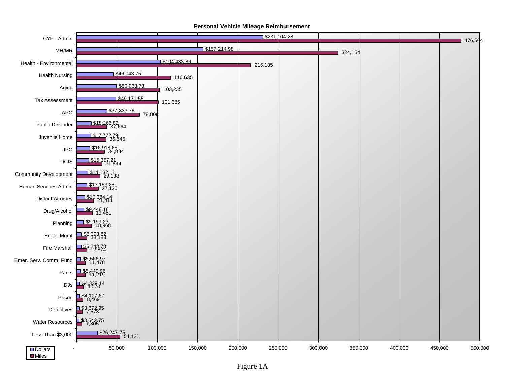

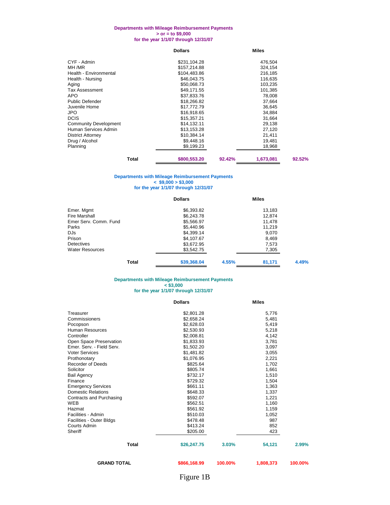#### **Departments with Mileage Reimbursement Payments > or = to \$9,000 for the year 1/1/07 through 12/31/07**

|                              | <b>Dollars</b> | <b>Miles</b> |           |        |
|------------------------------|----------------|--------------|-----------|--------|
| CYF - Admin                  | \$231,104.28   |              | 476,504   |        |
| MH /MR                       | \$157,214.88   |              | 324,154   |        |
| Health - Environmental       | \$104,483.86   |              | 216,185   |        |
| Health - Nursing             | \$46,043.75    |              | 116,635   |        |
| Aging                        | \$50,068.73    |              | 103,235   |        |
| Tax Assessment               | \$49.171.55    |              | 101,385   |        |
| <b>APO</b>                   | \$37,833.76    |              | 78.008    |        |
| Public Defender              | \$18,266.82    |              | 37,664    |        |
| Juvenile Home                | \$17,772.79    |              | 36,645    |        |
| JPO.                         | \$16,918.65    |              | 34,884    |        |
| <b>DCIS</b>                  | \$15,357.21    |              | 31,664    |        |
| <b>Community Development</b> | \$14,132.11    |              | 29,138    |        |
| Human Services Admin         | \$13,153.28    |              | 27,120    |        |
| <b>District Attorney</b>     | \$10,384.14    |              | 21,411    |        |
| Drug / Alcohol               | \$9,448.16     |              | 19,481    |        |
| Planning                     | \$9,199.23     |              | 18,968    |        |
| Total                        | \$800,553.20   | 92.42%       | 1,673,081 | 92.52% |

#### **Departments with Mileage Reimbursement Payments < \$9,000 > \$3,000 for the year 1/1/07 through 12/31/07**

|                        | <b>Dollars</b> |       | <b>Miles</b> |       |  |
|------------------------|----------------|-------|--------------|-------|--|
| Emer. Mgmt             | \$6,393.82     |       | 13.183       |       |  |
| <b>Fire Marshall</b>   | \$6,243.78     |       | 12.874       |       |  |
| Emer Serv. Comm. Fund  | \$5,566.97     |       | 11.478       |       |  |
| Parks                  | \$5,440.96     |       | 11.219       |       |  |
| DJs.                   | \$4,399.14     |       | 9.070        |       |  |
| Prison                 | \$4,107.67     |       | 8,469        |       |  |
| <b>Detectives</b>      | \$3,672.95     |       | 7,573        |       |  |
| <b>Water Resources</b> | \$3,542.75     |       | 7,305        |       |  |
| Total                  | \$39,368.04    | 4.55% | 81.171       | 4.49% |  |

#### **for the year 1/1/07 through 12/31/07 Departments with Mileage Reimbursement Payments < \$3,000**

#### **Dollars Miles**

| Treasurer                 | \$2,801.28   |         | 5,776     |         |
|---------------------------|--------------|---------|-----------|---------|
| Commissioners             | \$2.658.24   |         | 5,481     |         |
| Pocopson                  | \$2,628.03   |         | 5,419     |         |
| Human Resources           | \$2,530.93   |         | 5,218     |         |
| Controller                | \$2,008.81   |         | 4,142     |         |
| Open Space Preservation   | \$1,833.93   |         | 3,781     |         |
| Emer, Serv. - Field Serv. | \$1,502.20   |         | 3,097     |         |
| <b>Voter Services</b>     | \$1,481.82   |         | 3,055     |         |
| Prothonotary              | \$1,076.95   |         | 2,221     |         |
| Recorder of Deeds         | \$825.64     |         | 1,702     |         |
| Solicitor                 | \$805.74     |         | 1,661     |         |
| <b>Bail Agency</b>        | \$732.17     |         | 1,510     |         |
| Finance                   | \$729.32     |         | 1,504     |         |
| <b>Emergency Services</b> | \$661.11     |         | 1,363     |         |
| <b>Domestic Relations</b> | \$648.33     |         | 1,337     |         |
| Contracts and Purchasing  | \$592.07     |         | 1,221     |         |
| <b>WEB</b>                | \$562.51     |         | 1,160     |         |
| Hazmat                    | \$561.92     |         | 1,159     |         |
| Facilities - Admin        | \$510.03     |         | 1,052     |         |
| Facilities - Outer Bldgs  | \$478.48     |         | 987       |         |
| Courts Admin              | \$413.24     |         | 852       |         |
| Sheriff                   | \$205.00     |         | 423       |         |
| <b>Total</b>              | \$26,247.75  | 3.03%   | 54,121    | 2.99%   |
| <b>GRAND TOTAL</b>        | \$866,168.99 | 100.00% | 1,808,373 | 100.00% |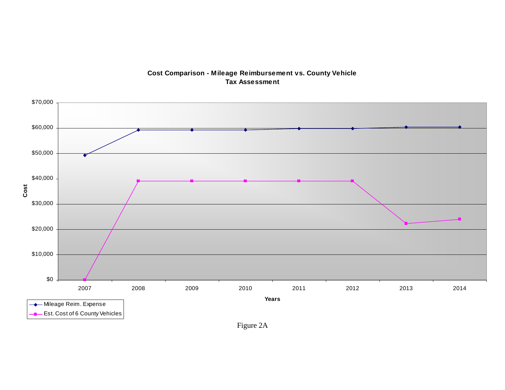

#### **Cost Comparison - Mileage Reimbursement vs. County Vehicle Tax Assessment**

Figure 2A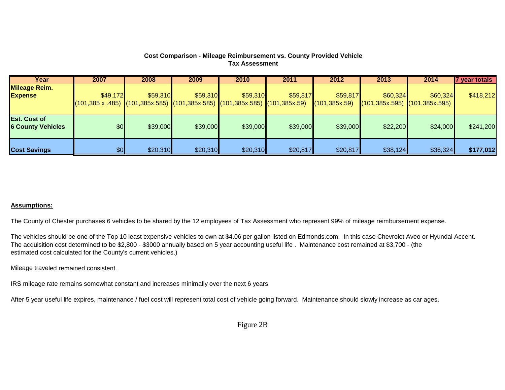#### **Cost Comparison - Mileage Reimbursement vs. County Provided Vehicle Tax Assessment**

| Year                                            | 2007                                                                                                                   | 2008     | 2009     | 2010     | 2011     | 2012           | 2013                                              | 2014     | 7 year totals |
|-------------------------------------------------|------------------------------------------------------------------------------------------------------------------------|----------|----------|----------|----------|----------------|---------------------------------------------------|----------|---------------|
| <b>Mileage Reim.</b>                            |                                                                                                                        |          |          |          |          |                |                                                   |          |               |
| <b>Expense</b>                                  | \$49,172                                                                                                               | \$59,310 | \$59,310 | \$59,310 | \$59,817 | \$59,817       | \$60,324                                          | \$60,324 | \$418,212     |
|                                                 | $(101,385 \times .485)$ $(101,385 \times .585)$ $(101,385 \times .585)$ $(101,385 \times .585)$ $(101,385 \times .59)$ |          |          |          |          | (101, 385x.59) | $\big  (101,385x.595) \big  (101,385x.595) \big $ |          |               |
|                                                 |                                                                                                                        |          |          |          |          |                |                                                   |          |               |
| <b>Est. Cost of</b><br><b>6 County Vehicles</b> | \$0 <sub>1</sub>                                                                                                       | \$39,000 | \$39,000 | \$39,000 | \$39,000 | \$39,000       | \$22,200                                          | \$24,000 | \$241,200     |
| <b>Cost Savings</b>                             | \$0                                                                                                                    | \$20,310 | \$20,310 | \$20,310 | \$20,817 | \$20,817       | \$38,124                                          | \$36,324 | \$177,012     |

#### <u>Assumptions:</u>

The County of Chester purchases 6 vehicles to be shared by the 12 employees of Tax Assessment who represent 99% of mileage reimbursement expense.

The vehicles should be one of the Top 10 least expensive vehicles to own at \$4.06 per gallon listed on Edmonds.com. In this case Chevrolet Aveo or Hyundai Accent. The acquisiti on cost determined to be \$2,800 - \$3000 annually based on 5 year accounting useful life . Maintenance cost remained at \$3,700 - (the estimated cos t calculated for the County's current vehicles.)

Mileage trave led remained consistent.

IRS mileage rate remains somewhat constant and increases minimally over the next 6 years.

After 5 year useful life expires, maintenance / fuel cost will represent total cost of vehicle going forward. Maintenance should slowly increase as car ages.

Figure 2B